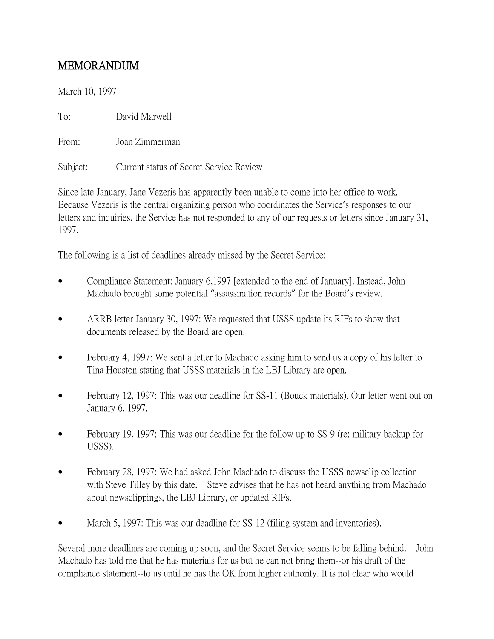## MEMORANDUM

March 10, 1997

To: David Marwell

From: Joan Zimmerman

Subject: Current status of Secret Service Review

Since late January, Jane Vezeris has apparently been unable to come into her office to work. Because Vezeris is the central organizing person who coordinates the Service's responses to our letters and inquiries, the Service has not responded to any of our requests or letters since January 31, 1997.

The following is a list of deadlines already missed by the Secret Service:

- Compliance Statement: January 6,1997 [extended to the end of January]. Instead, John Machado brought some potential "assassination records" for the Board's review.
- ARRB letter January 30, 1997: We requested that USSS update its RIFs to show that documents released by the Board are open.
- February 4, 1997: We sent a letter to Machado asking him to send us a copy of his letter to Tina Houston stating that USSS materials in the LBJ Library are open.
- February 12, 1997: This was our deadline for SS-11 (Bouck materials). Our letter went out on January 6, 1997.
- February 19, 1997: This was our deadline for the follow up to SS-9 (re: military backup for USSS).
- February 28, 1997: We had asked John Machado to discuss the USSS newsclip collection with Steve Tilley by this date. Steve advises that he has not heard anything from Machado about newsclippings, the LBJ Library, or updated RIFs.
- March 5, 1997: This was our deadline for SS-12 (filing system and inventories).

Several more deadlines are coming up soon, and the Secret Service seems to be falling behind. John Machado has told me that he has materials for us but he can not bring them--or his draft of the compliance statement--to us until he has the OK from higher authority. It is not clear who would